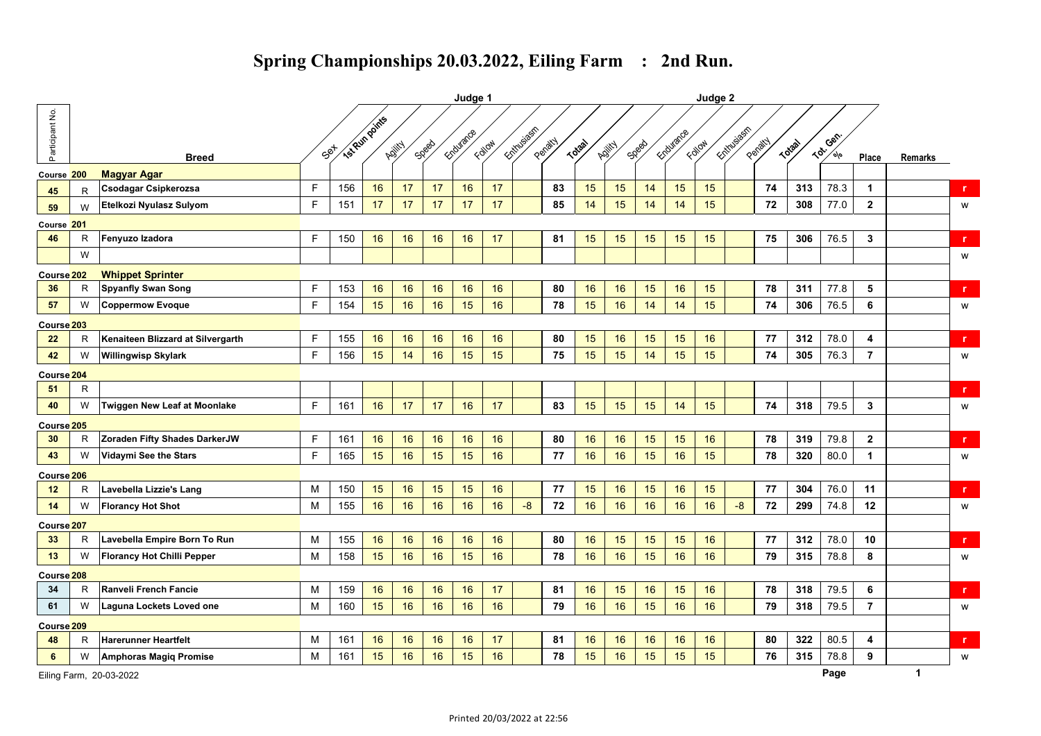|                       |   |                                   |    | Judge 1           |    |        |       | Judge 2   |        |             |         |              |        |       |           |        |              |         |               |                               |                |                |              |
|-----------------------|---|-----------------------------------|----|-------------------|----|--------|-------|-----------|--------|-------------|---------|--------------|--------|-------|-----------|--------|--------------|---------|---------------|-------------------------------|----------------|----------------|--------------|
| Participant No.       |   |                                   |    | Set is pun points |    |        |       | Endurance |        | Ecityusiasm |         |              |        |       | Endurance |        | Ecitylusiasm |         |               | Gen                           |                |                |              |
|                       |   | <b>Breed</b>                      |    |                   |    | Adjity | Speed |           | Follow |             | Penatty | <b>Total</b> | Adjity | Speed |           | Follow |              | Peratty | <b>Totach</b> | $\langle 6 \rangle$<br>$\phi$ | Place          | <b>Remarks</b> |              |
| Course 200            |   | <b>Magyar Agar</b>                |    |                   |    |        |       |           |        |             |         |              |        |       |           |        |              |         |               |                               |                |                |              |
| 45                    | R | Csodagar Csipkerozsa              | F. | 156               | 16 | 17     | 17    | 16        | 17     |             | 83      | 15           | 15     | 14    | 15        | 15     |              | 74      | 313           | 78.3                          | $\mathbf 1$    |                | r            |
| 59                    | W | Etelkozi Nyulasz Sulyom           | F. | 151               | 17 | 17     | 17    | 17        | 17     |             | 85      | 14           | 15     | 14    | 14        | 15     |              | 72      | 308           | 77.0                          | $\mathbf{2}$   |                | W            |
| Course 201            |   |                                   |    |                   |    |        |       |           |        |             |         |              |        |       |           |        |              |         |               |                               |                |                |              |
| 46                    | R | Fenyuzo Izadora                   | F. | 150               | 16 | 16     | 16    | 16        | 17     |             | 81      | 15           | 15     | 15    | 15        | 15     |              | 75      | 306           | 76.5                          | 3              |                | $\mathbf{r}$ |
|                       | W |                                   |    |                   |    |        |       |           |        |             |         |              |        |       |           |        |              |         |               |                               |                |                | W            |
| Course <sub>202</sub> |   | <b>Whippet Sprinter</b>           |    |                   |    |        |       |           |        |             |         |              |        |       |           |        |              |         |               |                               |                |                |              |
| 36                    | R | <b>Spyanfly Swan Song</b>         | F. | 153               | 16 | 16     | 16    | 16        | 16     |             | 80      | 16           | 16     | 15    | 16        | 15     |              | 78      | 311           | 77.8                          | 5              |                | $\mathbf{r}$ |
| 57                    | W | <b>Coppermow Evoque</b>           | E  | 154               | 15 | 16     | 16    | 15        | 16     |             | 78      | 15           | 16     | 14    | 14        | 15     |              | 74      | 306           | 76.5                          | 6              |                | W            |
| Course <sup>203</sup> |   |                                   |    |                   |    |        |       |           |        |             |         |              |        |       |           |        |              |         |               |                               |                |                |              |
| 22                    | R | Kenaiteen Blizzard at Silvergarth | F. | 155               | 16 | 16     | 16    | 16        | 16     |             | 80      | 15           | 16     | 15    | 15        | 16     |              | 77      | 312           | 78.0                          | 4              |                | r            |
| 42                    | W | <b>Willingwisp Skylark</b>        | F. | 156               | 15 | 14     | 16    | 15        | 15     |             | 75      | 15           | 15     | 14    | 15        | 15     |              | 74      | 305           | 76.3                          | $\overline{7}$ |                | W            |
| Course 204            |   |                                   |    |                   |    |        |       |           |        |             |         |              |        |       |           |        |              |         |               |                               |                |                |              |
| 51                    | R |                                   |    |                   |    |        |       |           |        |             |         |              |        |       |           |        |              |         |               |                               |                |                | $\mathbf r$  |
| 40                    | W | Twiggen New Leaf at Moonlake      | F. | 161               | 16 | 17     | 17    | 16        | 17     |             | 83      | 15           | 15     | 15    | 14        | 15     |              | 74      | 318           | 79.5                          | 3              |                | W            |
| Course <sup>205</sup> |   |                                   |    |                   |    |        |       |           |        |             |         |              |        |       |           |        |              |         |               |                               |                |                |              |
| 30                    | R | Zoraden Fifty Shades DarkerJW     | F. | 161               | 16 | 16     | 16    | 16        | 16     |             | 80      | 16           | 16     | 15    | 15        | 16     |              | 78      | 319           | 79.8                          | $\mathbf{2}$   |                | r.           |
| 43                    | W | Vidaymi See the Stars             | F. | 165               | 15 | 16     | 15    | 15        | 16     |             | 77      | 16           | 16     | 15    | 16        | 15     |              | 78      | 320           | 80.0                          | $\mathbf{1}$   |                | W            |
| Course <sup>206</sup> |   |                                   |    |                   |    |        |       |           |        |             |         |              |        |       |           |        |              |         |               |                               |                |                |              |
| 12                    | R | Lavebella Lizzie's Lang           | M  | 150               | 15 | 16     | 15    | 15        | 16     |             | 77      | 15           | 16     | 15    | 16        | 15     |              | 77      | 304           | 76.0                          | 11             |                | $\mathbf{r}$ |
| 14                    | W | <b>Florancy Hot Shot</b>          | M  | 155               | 16 | 16     | 16    | 16        | 16     | $-8$        | 72      | 16           | 16     | 16    | 16        | 16     | $-8$         | 72      | 299           | 74.8                          | 12             |                | W            |
| Course <sup>207</sup> |   |                                   |    |                   |    |        |       |           |        |             |         |              |        |       |           |        |              |         |               |                               |                |                |              |
| 33                    | R | Lavebella Empire Born To Run      | M  | 155               | 16 | 16     | 16    | 16        | 16     |             | 80      | 16           | 15     | 15    | 15        | 16     |              | 77      | 312           | 78.0                          | 10             |                | $\mathbf{r}$ |
| 13                    | W | <b>Florancy Hot Chilli Pepper</b> | М  | 158               | 15 | 16     | 16    | 15        | 16     |             | 78      | 16           | 16     | 15    | 16        | 16     |              | 79      | 315           | 78.8                          | 8              |                | W            |
| Course <sup>208</sup> |   |                                   |    |                   |    |        |       |           |        |             |         |              |        |       |           |        |              |         |               |                               |                |                |              |
| 34                    | R | Ranveli French Fancie             | м  | 159               | 16 | 16     | 16    | 16        | 17     |             | 81      | 16           | 15     | 16    | 15        | 16     |              | 78      | 318           | 79.5                          | 6              |                | r.           |
| 61                    | W | Laguna Lockets Loved one          | M  | 160               | 15 | 16     | 16    | 16        | 16     |             | 79      | 16           | 16     | 15    | 16        | 16     |              | 79      | 318           | 79.5                          | $\overline{7}$ |                | W            |
| Course <sub>209</sub> |   |                                   |    |                   |    |        |       |           |        |             |         |              |        |       |           |        |              |         |               |                               |                |                |              |
| 48                    | R | Harerunner Heartfelt              | M  | 161               | 16 | 16     | 16    | 16        | 17     |             | 81      | 16           | 16     | 16    | 16        | 16     |              | 80      | 322           | 80.5                          | 4              |                | $\mathbf{r}$ |
| $6\phantom{.}6$       | W | <b>Amphoras Magiq Promise</b>     | м  | 161               | 15 | 16     | 16    | 15        | 16     |             | 78      | 15           | 16     | 15    | 15        | 15     |              | 76      | 315           | 78.8                          | 9              |                | W            |
|                       |   | Eiling Farm, 20-03-2022           |    |                   |    |        |       |           |        |             |         |              |        |       |           |        |              |         |               | Page                          |                | $\mathbf{1}$   |              |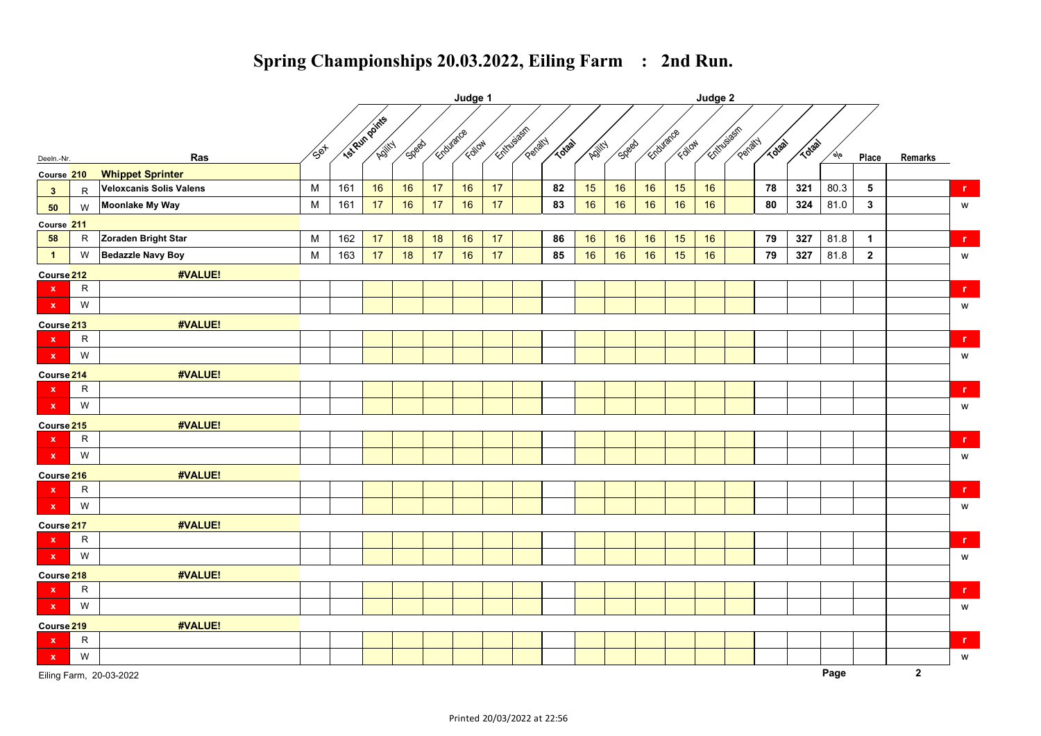|                           |              |                          | Judge 1     |                |                |              |           |        |            |         |             |               |              |           |        |             |         |             |              |        |                 |              |                |
|---------------------------|--------------|--------------------------|-------------|----------------|----------------|--------------|-----------|--------|------------|---------|-------------|---------------|--------------|-----------|--------|-------------|---------|-------------|--------------|--------|-----------------|--------------|----------------|
|                           |              |                          |             | Isl Run points |                |              | Endurance | Follow | Entry Sean | Penalty | <b>TO38</b> |               | <b>SDBBB</b> | Endurance | Edioxy | Entry Space | Penatty | <b>TO38</b> | <b>TO3a1</b> |        |                 |              |                |
| Deeln.-Nr.                |              | Ras                      | $\sqrt{50}$ |                | <b>Killick</b> | <b>SDRBD</b> |           |        |            |         |             | <b>Adjity</b> |              |           |        |             |         |             |              | $\phi$ | Place           | Remarks      |                |
| Course 210                |              | <b>Whippet Sprinter</b>  |             |                |                |              |           |        |            |         |             |               |              |           |        |             |         |             |              |        |                 |              |                |
| 3                         | R            | Veloxcanis Solis Valens  | M           | 161            | 16             | 16           | 17        | 16     | 17         |         | 82          | 15            | 16           | $16$      | 15     | 16          |         | 78          | 321          | 80.3   | $5\phantom{.0}$ |              | r.             |
| 50                        | W            | Moonlake My Way          | ${\sf M}$   | 161            | 17             | 16           | 17        | 16     | 17         |         | 83          | 16            | 16           | 16        | 16     | 16          |         | 80          | 324          | 81.0   | $\mathbf{3}$    |              | ${\mathsf w}$  |
| Course 211                |              |                          |             |                |                |              |           |        |            |         |             |               |              |           |        |             |         |             |              |        |                 |              |                |
| 58                        | $\mathsf{R}$ | Zoraden Bright Star      | M           | 162            | 17             | 18           | 18        | 16     | 17         |         | 86          | 16            | 16           | 16        | 15     | $16\,$      |         | 79          | 327          | 81.8   | $\mathbf{1}$    |              | $\mathbf{r}$   |
| $\overline{1}$            | W            | <b>Bedazzle Navy Boy</b> | ${\sf M}$   | 163            | 17             | 18           | 17        | 16     | 17         |         | 85          | 16            | 16           | 16        | 15     | 16          |         | 79          | 327          | 81.8   | $\overline{2}$  |              | ${\mathsf w}$  |
| Course <sub>212</sub>     |              | #VALUE!                  |             |                |                |              |           |        |            |         |             |               |              |           |        |             |         |             |              |        |                 |              |                |
| $\mathbf{x}$              | $\mathsf R$  |                          |             |                |                |              |           |        |            |         |             |               |              |           |        |             |         |             |              |        |                 |              | $\mathbf r$    |
| $\mathbf{x}$              | W            |                          |             |                |                |              |           |        |            |         |             |               |              |           |        |             |         |             |              |        |                 |              | ${\mathsf w}$  |
| Course <sub>213</sub>     |              | #VALUE!                  |             |                |                |              |           |        |            |         |             |               |              |           |        |             |         |             |              |        |                 |              |                |
| $\mathbf x$               | ${\sf R}$    |                          |             |                |                |              |           |        |            |         |             |               |              |           |        |             |         |             |              |        |                 |              | r              |
| $\mathbf x$               | W            |                          |             |                |                |              |           |        |            |         |             |               |              |           |        |             |         |             |              |        |                 |              | ${\mathsf w}$  |
| Course <sub>214</sub>     |              | #VALUE!                  |             |                |                |              |           |        |            |         |             |               |              |           |        |             |         |             |              |        |                 |              |                |
| $\mathbf{x}$              | $\mathsf{R}$ |                          |             |                |                |              |           |        |            |         |             |               |              |           |        |             |         |             |              |        |                 |              | $\mathbf{r}$   |
| $\mathbf{x}$              | W            |                          |             |                |                |              |           |        |            |         |             |               |              |           |        |             |         |             |              |        |                 |              | W              |
| Course <sub>215</sub>     |              | #VALUE!                  |             |                |                |              |           |        |            |         |             |               |              |           |        |             |         |             |              |        |                 |              |                |
| $\boldsymbol{\mathsf{x}}$ | $\mathsf{R}$ |                          |             |                |                |              |           |        |            |         |             |               |              |           |        |             |         |             |              |        |                 |              | $\mathbf r$    |
| $\mathbf x$               | W            |                          |             |                |                |              |           |        |            |         |             |               |              |           |        |             |         |             |              |        |                 |              | ${\mathsf w}$  |
| Course <sub>216</sub>     |              | #VALUE!                  |             |                |                |              |           |        |            |         |             |               |              |           |        |             |         |             |              |        |                 |              |                |
| $\boldsymbol{\mathsf{x}}$ | $\mathsf{R}$ |                          |             |                |                |              |           |        |            |         |             |               |              |           |        |             |         |             |              |        |                 |              | $\mathbf{r}$ . |
| $\mathbf{x}$              | W            |                          |             |                |                |              |           |        |            |         |             |               |              |           |        |             |         |             |              |        |                 |              | w              |
| Course <sub>217</sub>     |              | #VALUE!                  |             |                |                |              |           |        |            |         |             |               |              |           |        |             |         |             |              |        |                 |              |                |
| $\mathbf x$               | $\mathsf{R}$ |                          |             |                |                |              |           |        |            |         |             |               |              |           |        |             |         |             |              |        |                 |              | in.            |
| $\mathbf x$               | W            |                          |             |                |                |              |           |        |            |         |             |               |              |           |        |             |         |             |              |        |                 |              | ${\mathsf w}$  |
| Course <sub>218</sub>     |              | #VALUE!                  |             |                |                |              |           |        |            |         |             |               |              |           |        |             |         |             |              |        |                 |              |                |
| $\mathbf x$               | $\mathsf{R}$ |                          |             |                |                |              |           |        |            |         |             |               |              |           |        |             |         |             |              |        |                 |              | r              |
| $\mathbf x$               | W            |                          |             |                |                |              |           |        |            |         |             |               |              |           |        |             |         |             |              |        |                 |              | ${\mathsf w}$  |
| Course <sub>219</sub>     |              | #VALUE!                  |             |                |                |              |           |        |            |         |             |               |              |           |        |             |         |             |              |        |                 |              |                |
| $\boldsymbol{\mathsf{x}}$ | $\mathsf R$  |                          |             |                |                |              |           |        |            |         |             |               |              |           |        |             |         |             |              |        |                 |              | $\mathbf{r}$   |
| $\mathbf x$               | W            |                          |             |                |                |              |           |        |            |         |             |               |              |           |        |             |         |             |              |        |                 |              | w              |
|                           |              | Eiling Farm, 20-03-2022  |             |                |                |              |           |        |            |         |             |               |              |           |        |             |         |             |              | Page   |                 | $\mathbf{2}$ |                |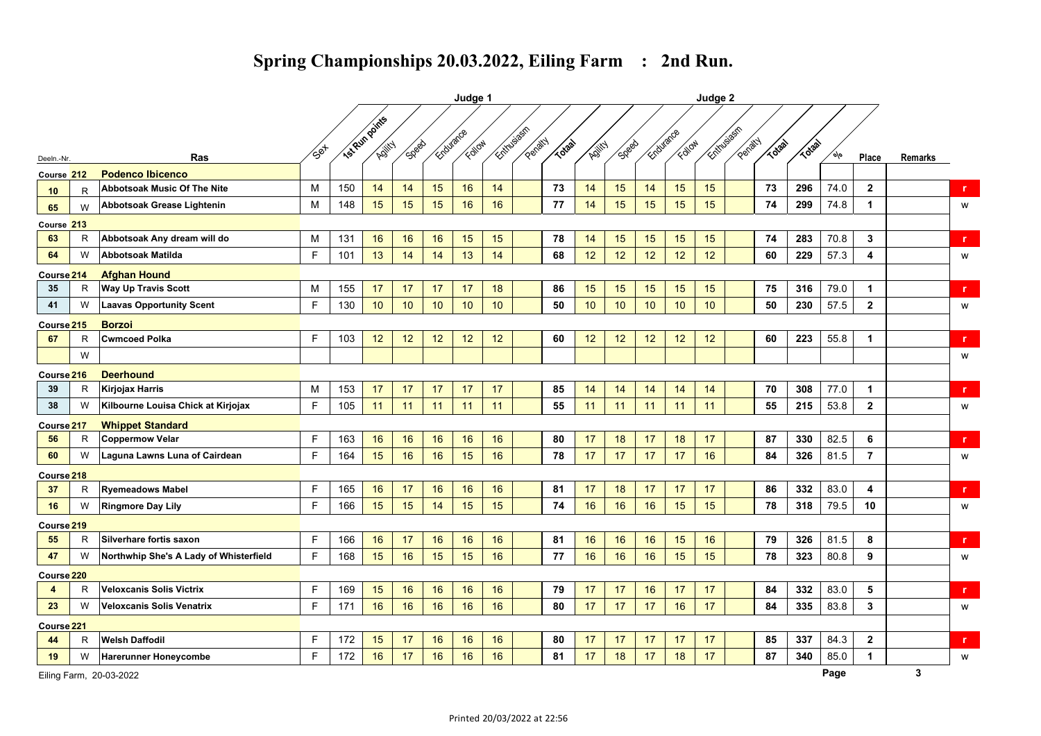|                       |   |                                        | Judge 1               |     |                      |              |           |        |    |                               |       |                 |                 | Judge 2   |        |                   |         |              |       |      |                         |              |              |
|-----------------------|---|----------------------------------------|-----------------------|-----|----------------------|--------------|-----------|--------|----|-------------------------------|-------|-----------------|-----------------|-----------|--------|-------------------|---------|--------------|-------|------|-------------------------|--------------|--------------|
|                       |   |                                        |                       |     | <b>IS Run points</b> |              | Endurance | Follow |    | <b>Entire Bash</b><br>Penalty | Todal |                 |                 | Endurance | Follow | <b>Extragally</b> | Penalty | <b>TOTAL</b> | TO3ab |      |                         |              |              |
| Deeln.-Nr.            |   | <b>Ras</b>                             | $\sqrt{5}e^{i\theta}$ |     | Adjity               | <b>Speed</b> |           |        |    |                               |       | Adjity          | <b>Spect</b>    |           |        |                   |         |              |       | o/o` | Place                   | Remarks      |              |
| Course 212            |   | <b>Podenco Ibicenco</b>                |                       |     |                      |              |           |        |    |                               |       |                 |                 |           |        |                   |         |              |       |      |                         |              |              |
| 10                    | R | <b>Abbotsoak Music Of The Nite</b>     | М                     | 150 | 14                   | 14           | 15        | 16     | 14 |                               | 73    | 14              | 15              | 14        | 15     | 15                |         | 73           | 296   | 74.0 | $\overline{2}$          |              | r.           |
| 65                    | W | Abbotsoak Grease Lightenin             | М                     | 148 | 15                   | 15           | 15        | 16     | 16 |                               | 77    | 14              | 15              | 15        | 15     | 15                |         | 74           | 299   | 74.8 | $\mathbf{1}$            |              | W            |
| Course 213            |   |                                        |                       |     |                      |              |           |        |    |                               |       |                 |                 |           |        |                   |         |              |       |      |                         |              |              |
| 63                    | R | Abbotsoak Any dream will do            | М                     | 131 | 16                   | 16           | 16        | 15     | 15 |                               | 78    | 14              | 15              | 15        | 15     | 15                |         | 74           | 283   | 70.8 | 3                       |              | r            |
| 64                    | W | <b>Abbotsoak Matilda</b>               | F                     | 101 | 13                   | 14           | 14        | 13     | 14 |                               | 68    | 12 <sup>°</sup> | 12              | 12        | 12     | 12                |         | 60           | 229   | 57.3 | $\overline{\mathbf{4}}$ |              | W            |
| Course <sub>214</sub> |   | <b>Afghan Hound</b>                    |                       |     |                      |              |           |        |    |                               |       |                 |                 |           |        |                   |         |              |       |      |                         |              |              |
| 35                    | R | <b>Way Up Travis Scott</b>             | м                     | 155 | 17                   | 17           | 17        | 17     | 18 |                               | 86    | 15              | 15              | 15        | 15     | 15                |         | 75           | 316   | 79.0 | $\mathbf{1}$            |              | r.           |
| 41                    | W | <b>Laavas Opportunity Scent</b>        | F                     | 130 | 10                   | 10           | 10        | 10     | 10 |                               | 50    | 10              | 10 <sup>°</sup> | 10        | 10     | 10                |         | 50           | 230   | 57.5 | $\overline{2}$          |              | W            |
| Course <sub>215</sub> |   | <b>Borzoi</b>                          |                       |     |                      |              |           |        |    |                               |       |                 |                 |           |        |                   |         |              |       |      |                         |              |              |
| 67                    | R | <b>Cwmcoed Polka</b>                   | F.                    | 103 | 12                   | 12           | 12        | 12     | 12 |                               | 60    | 12              | 12              | 12        | 12     | 12                |         | 60           | 223   | 55.8 | $\mathbf{1}$            |              | r.           |
|                       | W |                                        |                       |     |                      |              |           |        |    |                               |       |                 |                 |           |        |                   |         |              |       |      |                         |              | W            |
| Course <sub>216</sub> |   | <b>Deerhound</b>                       |                       |     |                      |              |           |        |    |                               |       |                 |                 |           |        |                   |         |              |       |      |                         |              |              |
| 39                    | R | Kirjojax Harris                        | М                     | 153 | 17                   | 17           | 17        | 17     | 17 |                               | 85    | 14              | 14              | 14        | 14     | 14                |         | 70           | 308   | 77.0 | $\mathbf{1}$            |              | $\mathbf{r}$ |
| 38                    | W | Kilbourne Louisa Chick at Kirjojax     | F.                    | 105 | 11                   | 11           | 11        | 11     | 11 |                               | 55    | 11              | 11              | 11        | 11     | 11                |         | 55           | 215   | 53.8 | $\overline{2}$          |              | W            |
| Course <sub>217</sub> |   | <b>Whippet Standard</b>                |                       |     |                      |              |           |        |    |                               |       |                 |                 |           |        |                   |         |              |       |      |                         |              |              |
| 56                    | R | <b>Coppermow Velar</b>                 | F.                    | 163 | 16                   | 16           | 16        | 16     | 16 |                               | 80    | 17              | 18              | 17        | 18     | 17                |         | 87           | 330   | 82.5 | 6                       |              | r.           |
| 60                    | W | Laguna Lawns Luna of Cairdean          | F.                    | 164 | 15                   | 16           | 16        | 15     | 16 |                               | 78    | 17              | 17              | 17        | 17     | 16                |         | 84           | 326   | 81.5 | $\overline{7}$          |              | W            |
| Course <sub>218</sub> |   |                                        |                       |     |                      |              |           |        |    |                               |       |                 |                 |           |        |                   |         |              |       |      |                         |              |              |
| 37                    | R | <b>Ryemeadows Mabel</b>                | F.                    | 165 | 16                   | 17           | 16        | 16     | 16 |                               | 81    | 17              | 18              | 17        | 17     | 17                |         | 86           | 332   | 83.0 | 4                       |              | r            |
| 16                    | W | <b>Ringmore Day Lily</b>               | F.                    | 166 | 15                   | 15           | 14        | 15     | 15 |                               | 74    | 16              | 16              | 16        | 15     | 15                |         | 78           | 318   | 79.5 | 10                      |              | W            |
| Course <sub>219</sub> |   |                                        |                       |     |                      |              |           |        |    |                               |       |                 |                 |           |        |                   |         |              |       |      |                         |              |              |
| 55                    | R | Silverhare fortis saxon                | F.                    | 166 | 16                   | 17           | 16        | 16     | 16 |                               | 81    | 16              | 16              | 16        | 15     | 16                |         | 79           | 326   | 81.5 | 8                       |              | r.           |
| 47                    | W | Northwhip She's A Lady of Whisterfield | E                     | 168 | 15                   | 16           | 15        | 15     | 16 |                               | 77    | 16              | 16              | 16        | 15     | 15                |         | 78           | 323   | 80.8 | 9                       |              | W            |
| Course 220            |   |                                        |                       |     |                      |              |           |        |    |                               |       |                 |                 |           |        |                   |         |              |       |      |                         |              |              |
| $\boldsymbol{4}$      | R | <b>Veloxcanis Solis Victrix</b>        | F.                    | 169 | 15                   | 16           | 16        | 16     | 16 |                               | 79    | 17              | 17              | 16        | 17     | 17                |         | 84           | 332   | 83.0 | 5                       |              | r.           |
| 23                    | W | Veloxcanis Solis Venatrix              | F                     | 171 | 16                   | 16           | 16        | 16     | 16 |                               | 80    | 17              | 17              | 17        | 16     | 17                |         | 84           | 335   | 83.8 | $\mathbf{3}$            |              | W            |
| Course <sup>221</sup> |   |                                        |                       |     |                      |              |           |        |    |                               |       |                 |                 |           |        |                   |         |              |       |      |                         |              |              |
| 44                    | R | <b>Welsh Daffodil</b>                  | F.                    | 172 | 15                   | 17           | 16        | 16     | 16 |                               | 80    | 17              | 17              | 17        | 17     | 17                |         | 85           | 337   | 84.3 | $\mathbf{2}$            |              | $\mathbf{r}$ |
| 19                    | W | <b>Harerunner Honeycombe</b>           | F                     | 172 | 16                   | 17           | 16        | 16     | 16 |                               | 81    | 17              | 18              | 17        | 18     | 17                |         | 87           | 340   | 85.0 | $\mathbf{1}$            |              | W            |
|                       |   | Eiling Farm, 20-03-2022                |                       |     |                      |              |           |        |    |                               |       |                 |                 |           |        |                   |         |              |       | Page |                         | $\mathbf{3}$ |              |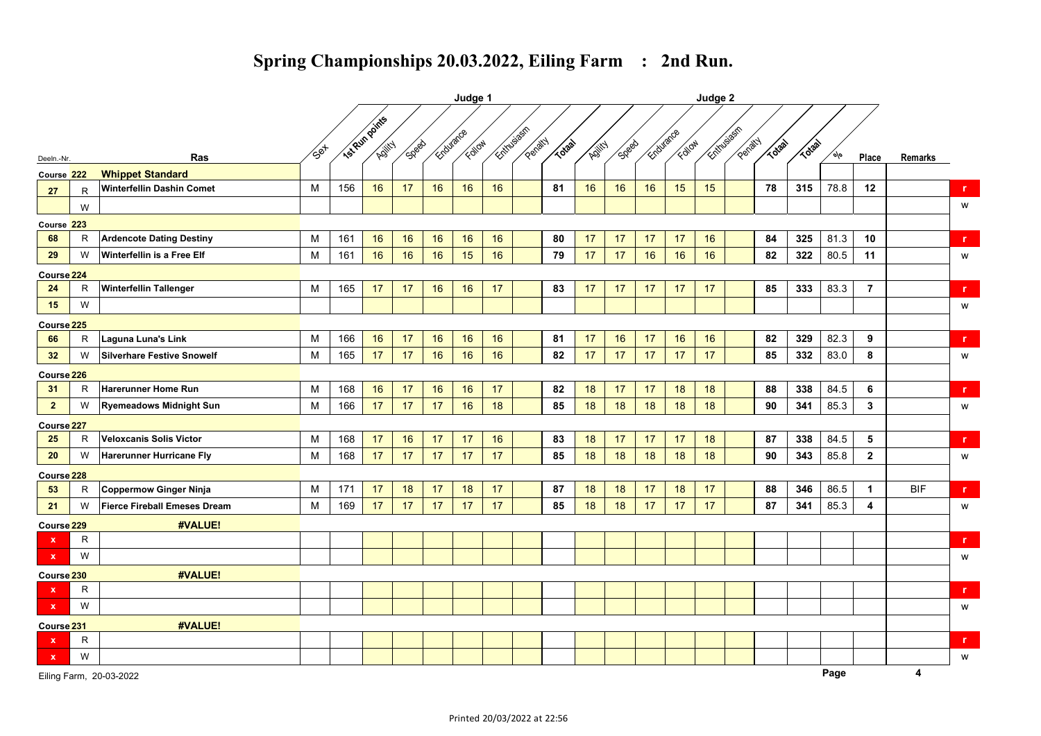|                       |              |                                   |               | Judge 1 |                |              |           |        |              |         |       |        |              |           | Judge 2 |            |         |       |         |      |                         |            |              |  |
|-----------------------|--------------|-----------------------------------|---------------|---------|----------------|--------------|-----------|--------|--------------|---------|-------|--------|--------------|-----------|---------|------------|---------|-------|---------|------|-------------------------|------------|--------------|--|
|                       |              |                                   |               |         | Isl Run points |              | Endurance |        | Entry States |         |       |        |              | Endurance |         | Entry Sean |         |       |         |      |                         |            |              |  |
| Deeln.-Nr.            |              | Ras                               | $\sqrt{5}$ et |         | Adjitch        | <b>Spect</b> |           | Follow |              | Penatty | Trail | Adjity | <b>Speed</b> |           | Follow  |            | Penalty | Todal | TOtal M | م∣ه  | Place                   | Remarks    |              |  |
| Course 222            |              | <b>Whippet Standard</b>           |               |         |                |              |           |        |              |         |       |        |              |           |         |            |         |       |         |      |                         |            |              |  |
| 27                    | R            | <b>Winterfellin Dashin Comet</b>  | М             | 156     | 16             | 17           | 16        | 16     | 16           |         | 81    | 16     | 16           | 16        | 15      | 15         |         | 78    | 315     | 78.8 | 12                      |            | $\mathbf{r}$ |  |
|                       | W            |                                   |               |         |                |              |           |        |              |         |       |        |              |           |         |            |         |       |         |      |                         |            | W            |  |
| Course 223            |              |                                   |               |         |                |              |           |        |              |         |       |        |              |           |         |            |         |       |         |      |                         |            |              |  |
| 68                    | R            | <b>Ardencote Dating Destiny</b>   | M             | 161     | 16             | 16           | 16        | 16     | 16           |         | 80    | 17     | 17           | 17        | 17      | 16         |         | 84    | 325     | 81.3 | 10                      |            | $\mathbf{r}$ |  |
| 29                    | W            | Winterfellin is a Free Elf        | M             | 161     | 16             | 16           | 16        | 15     | 16           |         | 79    | 17     | 17           | 16        | 16      | 16         |         | 82    | 322     | 80.5 | 11                      |            | W            |  |
| Course <sub>224</sub> |              |                                   |               |         |                |              |           |        |              |         |       |        |              |           |         |            |         |       |         |      |                         |            |              |  |
| 24                    | R            | <b>Winterfellin Tallenger</b>     | М             | 165     | 17             | 17           | 16        | 16     | 17           |         | 83    | 17     | 17           | 17        | 17      | 17         |         | 85    | 333     | 83.3 | $\overline{7}$          |            | $\mathbf{r}$ |  |
| 15                    | W            |                                   |               |         |                |              |           |        |              |         |       |        |              |           |         |            |         |       |         |      |                         |            | W            |  |
| Course <sub>225</sub> |              |                                   |               |         |                |              |           |        |              |         |       |        |              |           |         |            |         |       |         |      |                         |            |              |  |
| 66                    | $\mathsf{R}$ | Laguna Luna's Link                | M             | 166     | 16             | 17           | 16        | 16     | 16           |         | 81    | 17     | 16           | 17        | 16      | 16         |         | 82    | 329     | 82.3 | 9                       |            | r.           |  |
| 32                    | W            | <b>Silverhare Festive Snowelf</b> | M             | 165     | 17             | 17           | 16        | 16     | 16           |         | 82    | 17     | 17           | 17        | 17      | 17         |         | 85    | 332     | 83.0 | 8                       |            | W            |  |
| Course <sup>226</sup> |              |                                   |               |         |                |              |           |        |              |         |       |        |              |           |         |            |         |       |         |      |                         |            |              |  |
| 31                    | R            | <b>Harerunner Home Run</b>        | M             | 168     | 16             | 17           | 16        | 16     | 17           |         | 82    | 18     | 17           | 17        | 18      | 18         |         | 88    | 338     | 84.5 | 6                       |            | $\mathbf r$  |  |
| $\overline{2}$        | W            | <b>Ryemeadows Midnight Sun</b>    | M             | 166     | 17             | 17           | 17        | 16     | 18           |         | 85    | 18     | 18           | 18        | 18      | 18         |         | 90    | 341     | 85.3 | $\mathbf{3}$            |            | W            |  |
| Course <sub>227</sub> |              |                                   |               |         |                |              |           |        |              |         |       |        |              |           |         |            |         |       |         |      |                         |            |              |  |
| 25                    | R            | Veloxcanis Solis Victor           | М             | 168     | 17             | 16           | 17        | 17     | 16           |         | 83    | 18     | 17           | 17        | 17      | 18         |         | 87    | 338     | 84.5 | 5                       |            | $\mathbf{r}$ |  |
| 20                    | W            | <b>Harerunner Hurricane Fly</b>   | M             | 168     | 17             | 17           | 17        | 17     | 17           |         | 85    | 18     | 18           | 18        | 18      | 18         |         | 90    | 343     | 85.8 | $\overline{2}$          |            | W            |  |
| Course <sub>228</sub> |              |                                   |               |         |                |              |           |        |              |         |       |        |              |           |         |            |         |       |         |      |                         |            |              |  |
| 53                    | R            | Coppermow Ginger Ninja            | M             | 171     | 17             | 18           | 17        | 18     | 17           |         | 87    | 18     | 18           | 17        | 18      | 17         |         | 88    | 346     | 86.5 | $\mathbf{1}$            | <b>BIF</b> | r.           |  |
| 21                    | W            | Fierce Fireball Emeses Dream      | M             | 169     | 17             | 17           | 17        | 17     | 17           |         | 85    | 18     | 18           | 17        | 17      | 17         |         | 87    | 341     | 85.3 | $\overline{\mathbf{4}}$ |            | W            |  |
| Course <sup>229</sup> |              | #VALUE!                           |               |         |                |              |           |        |              |         |       |        |              |           |         |            |         |       |         |      |                         |            |              |  |
| $\mathbf{x}$          | R.           |                                   |               |         |                |              |           |        |              |         |       |        |              |           |         |            |         |       |         |      |                         |            | $\mathbf{r}$ |  |
| $\mathbf{x}$          | W            |                                   |               |         |                |              |           |        |              |         |       |        |              |           |         |            |         |       |         |      |                         |            | W            |  |
| Course 230            |              | #VALUE!                           |               |         |                |              |           |        |              |         |       |        |              |           |         |            |         |       |         |      |                         |            |              |  |
| $\mathbf{x}$          | R            |                                   |               |         |                |              |           |        |              |         |       |        |              |           |         |            |         |       |         |      |                         |            | r.           |  |
| $\mathbf x$           | W            |                                   |               |         |                |              |           |        |              |         |       |        |              |           |         |            |         |       |         |      |                         |            | W            |  |
| Course <sub>231</sub> |              | #VALUE!                           |               |         |                |              |           |        |              |         |       |        |              |           |         |            |         |       |         |      |                         |            |              |  |
| $\mathbf x$           | R            |                                   |               |         |                |              |           |        |              |         |       |        |              |           |         |            |         |       |         |      |                         |            | $\mathbf{r}$ |  |
| $\mathbf{x}$          | W            |                                   |               |         |                |              |           |        |              |         |       |        |              |           |         |            |         |       |         |      |                         |            | W            |  |
|                       |              | Eiling Farm, 20-03-2022           |               |         |                |              |           |        |              |         |       |        |              |           |         |            |         |       |         | Page |                         | 4          |              |  |